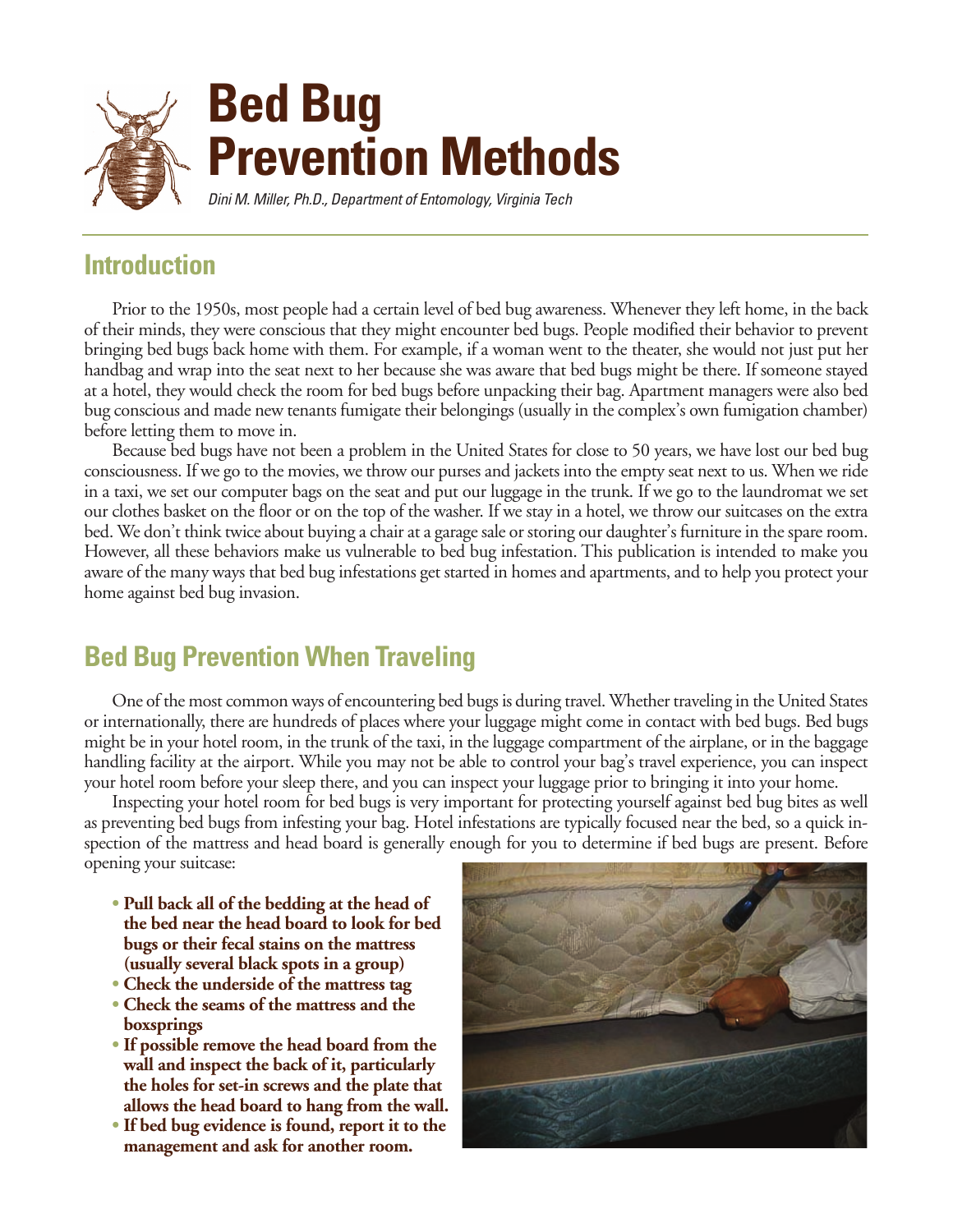

## **Introduction**

Prior to the 1950s, most people had a certain level of bed bug awareness. Whenever they left home, in the back of their minds, they were conscious that they might encounter bed bugs. People modified their behavior to prevent bringing bed bugs back home with them. For example, if a woman went to the theater, she would not just put her handbag and wrap into the seat next to her because she was aware that bed bugs might be there. If someone stayed at a hotel, they would check the room for bed bugs before unpacking their bag. Apartment managers were also bed bug conscious and made new tenants fumigate their belongings (usually in the complex's own fumigation chamber) before letting them to move in.

Because bed bugs have not been a problem in the United States for close to 50 years, we have lost our bed bug consciousness. If we go to the movies, we throw our purses and jackets into the empty seat next to us. When we ride in a taxi, we set our computer bags on the seat and put our luggage in the trunk. If we go to the laundromat we set our clothes basket on the floor or on the top of the washer. If we stay in a hotel, we throw our suitcases on the extra bed. We don't think twice about buying a chair at a garage sale or storing our daughter's furniture in the spare room. However, all these behaviors make us vulnerable to bed bug infestation. This publication is intended to make you aware of the many ways that bed bug infestations get started in homes and apartments, and to help you protect your home against bed bug invasion.

# **Bed Bug Prevention When Traveling**

One of the most common ways of encountering bed bugs is during travel. Whether traveling in the United States or internationally, there are hundreds of places where your luggage might come in contact with bed bugs. Bed bugs might be in your hotel room, in the trunk of the taxi, in the luggage compartment of the airplane, or in the baggage handling facility at the airport. While you may not be able to control your bag's travel experience, you can inspect your hotel room before your sleep there, and you can inspect your luggage prior to bringing it into your home.

Inspecting your hotel room for bed bugs is very important for protecting yourself against bed bug bites as well as preventing bed bugs from infesting your bag. Hotel infestations are typically focused near the bed, so a quick inspection of the mattress and head board is generally enough for you to determine if bed bugs are present. Before opening your suitcase:

- **Pull back all of the bedding at the head of • the bed near the head board to look for bed • bugs or their fecal stains on the mattress • (usually several black spots in a group)**
- **Check the underside of the mattress tag**
- **Check the seams of the mattress and the • boxsprings**
- **If possible remove the head board from the • wall and inspect the back of it, particularly • the holes for set-in screws and the plate that • allows the head board to hang from the wall.**
- **If bed bug evidence is found, report it to the • management and ask for another room.**

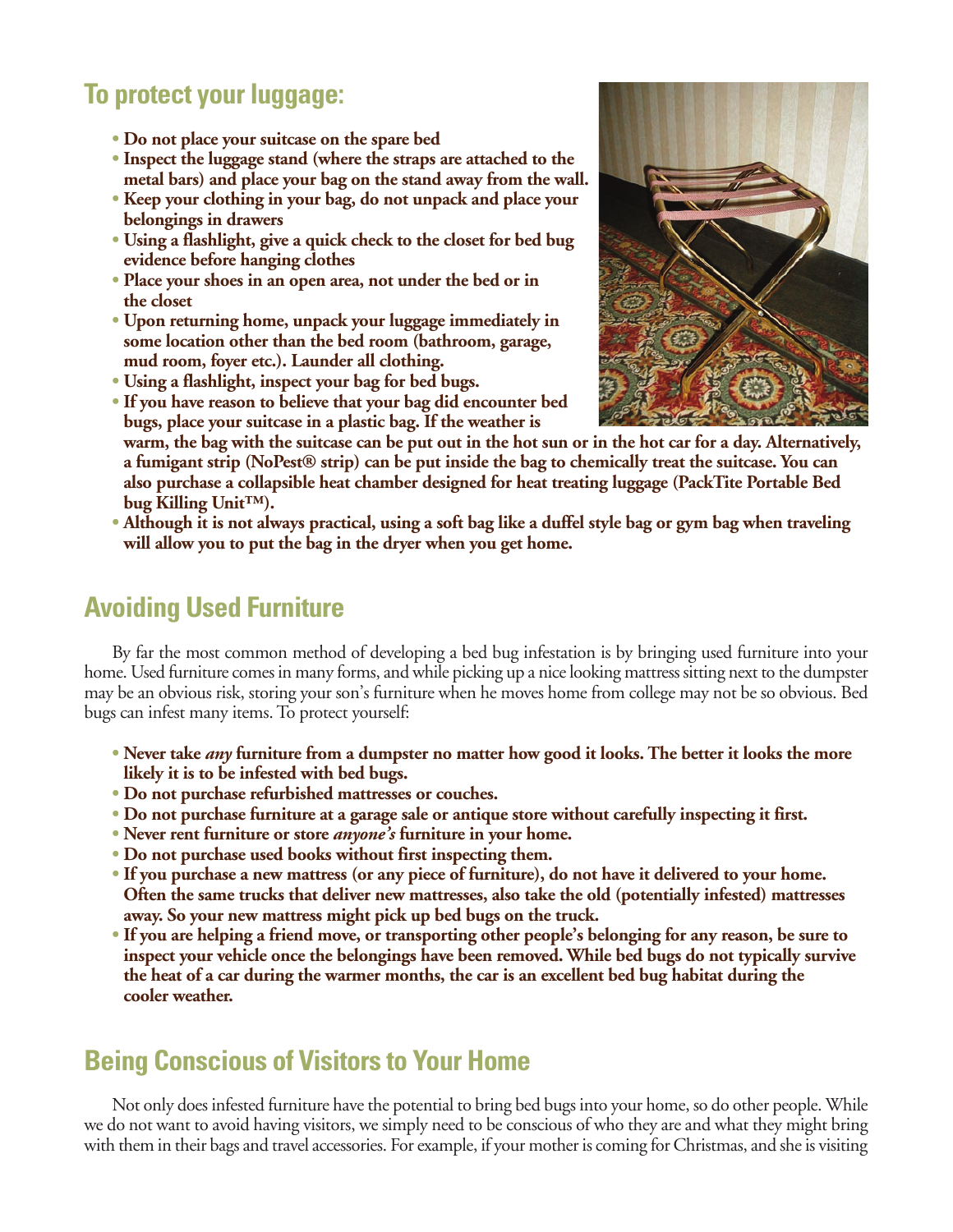## **To protect your luggage:**

- **Do not place your suitcase on the spare bed**
- **Inspect the luggage stand (where the straps are attached to the • metal bars) and place your bag on the stand away from the wall.**
- **Keep your clothing in your bag, do not unpack and place your • belongings in drawers**
- **Using a flashlight, give a quick check to the closet for bed bug • evidence before hanging clothes**
- **Place your shoes in an open area, not under the bed or in • the closet**
- **Upon returning home, unpack your luggage immediately in • some location other than the bed room (bathroom, garage, • mud room, foyer etc.). Launder all clothing.**
- **Using a flashlight, inspect your bag for bed bugs.**
- **If you have reason to believe that your bag did encounter bed • bugs, place your suitcase in a plastic bag. If the weather is**



**• warm, the bag with the suitcase can be put out in the hot sun or in the hot car for a day. Alternatively, • a fumigant strip (NoPest® strip) can be put inside the bag to chemically treat the suitcase. You can • also purchase a collapsible heat chamber designed for heat treating luggage (PackTite Portable Bed • bug Killing Unit™).**

**• Although it is not always practical, using a soft bag like a duffel style bag or gym bag when traveling • will allow you to put the bag in the dryer when you get home.**

# **Avoiding Used Furniture**

By far the most common method of developing a bed bug infestation is by bringing used furniture into your home. Used furniture comes in many forms, and while picking up a nice looking mattress sitting next to the dumpster may be an obvious risk, storing your son's furniture when he moves home from college may not be so obvious. Bed bugs can infest many items. To protect yourself:

- **Never take** *any* **furniture from a dumpster no matter how good it looks. The better it looks the more • likely it is to be infested with bed bugs.**
- **Do not purchase refurbished mattresses or couches.**
- **Do not purchase furniture at a garage sale or antique store without carefully inspecting it first.**
- **Never rent furniture or store** *anyone's* **furniture in your home.**
- **Do not purchase used books without first inspecting them.**
- **If you purchase a new mattress (or any piece of furniture), do not have it delivered to your home. • Often the same trucks that deliver new mattresses, also take the old (potentially infested) mattresses • away. So your new mattress might pick up bed bugs on the truck.**
- **If you are helping a friend move, or transporting other people's belonging for any reason, be sure to • inspect your vehicle once the belongings have been removed. While bed bugs do not typically survive • the heat of a car during the warmer months, the car is an excellent bed bug habitat during the • cooler weather.**

## **Being Conscious of Visitors to Your Home**

Not only does infested furniture have the potential to bring bed bugs into your home, so do other people. While we do not want to avoid having visitors, we simply need to be conscious of who they are and what they might bring with them in their bags and travel accessories. For example, if your mother is coming for Christmas, and she is visiting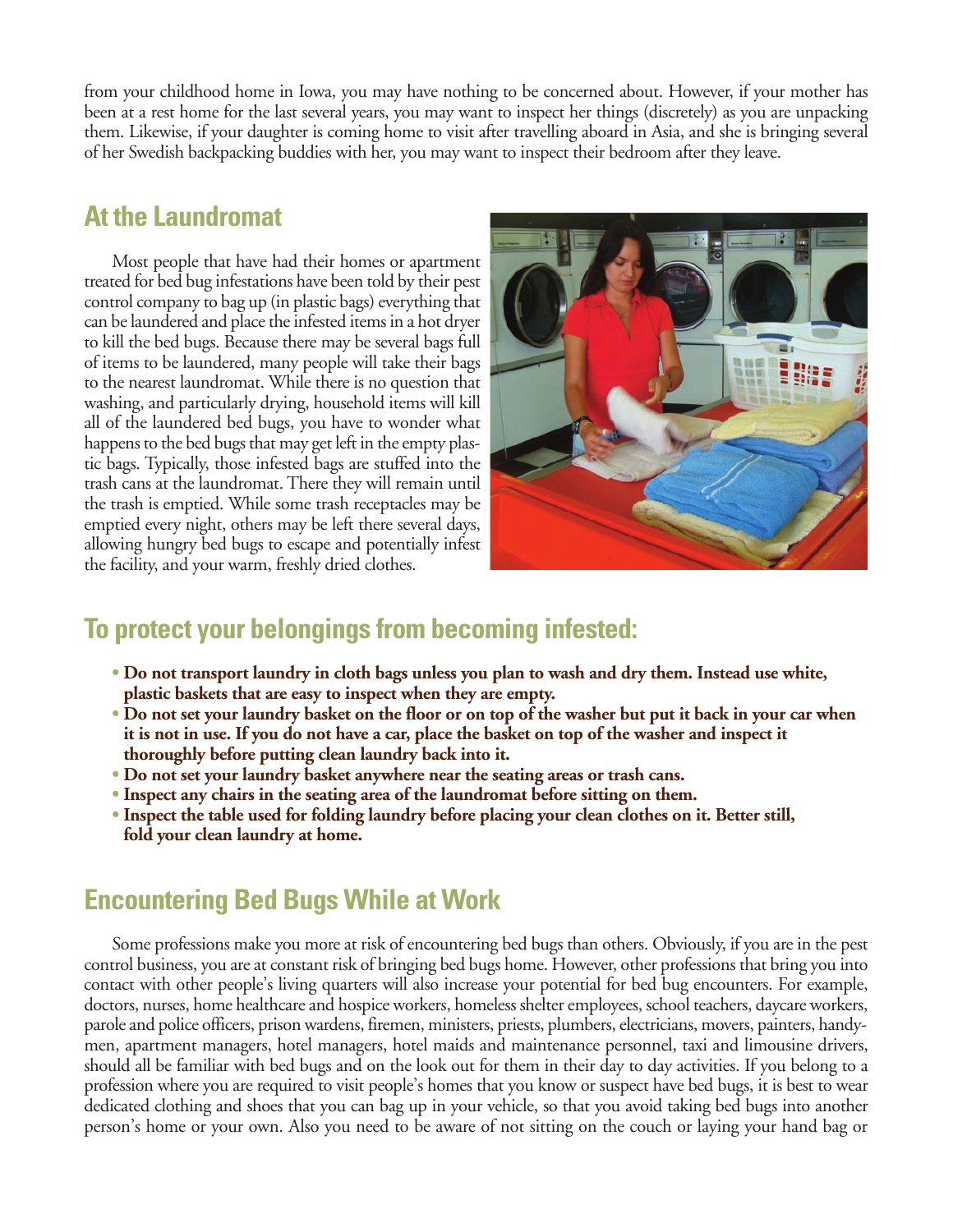from your childhood home in Iowa, you may have nothing to be concerned about. However, if your mother has been at a rest home for the last several years, you may want to inspect her things (discretely) as you are unpacking them. Likewise, if your daughter is coming home to visit after travelling aboard in Asia, and she is bringing several of her Swedish backpacking buddies with her, you may want to inspect their bedroom after they leave.

#### **At the Laundromat**

Most people that have had their homes or apartment treated for bed bug infestations have been told by their pest control company to bag up (in plastic bags) everything that can be laundered and place the infested items in a hot dryer to kill the bed bugs. Because there may be several bags full of items to be laundered, many people will take their bags to the nearest laundromat. While there is no question that washing, and particularly drying, household items will kill all of the laundered bed bugs, you have to wonder what happens to the bed bugs that may get left in the empty plastic bags. Typically, those infested bags are stuffed into the trash cans at the laundromat. There they will remain until the trash is emptied. While some trash receptacles may be emptied every night, others may be left there several days, allowing hungry bed bugs to escape and potentially infest the facility, and your warm, freshly dried clothes.



## **To protect your belongings from becoming infested:**

- **Do not transport laundry in cloth bags unless you plan to wash and dry them. Instead use white, • plastic baskets that are easy to inspect when they are empty.**
- **Do not set your laundry basket on the floor or on top of the washer but put it back in your car when • it is not in use. If you do not have a car, place the basket on top of the washer and inspect it • thoroughly before putting clean laundry back into it.**
- **Do not set your laundry basket anywhere near the seating areas or trash cans.**
- **Inspect any chairs in the seating area of the laundromat before sitting on them.**
- **Inspect the table used for folding laundry before placing your clean clothes on it. Better still, • fold your clean laundry at home.**

## **Encountering Bed Bugs While at Work**

Some professions make you more at risk of encountering bed bugs than others. Obviously, if you are in the pest control business, you are at constant risk of bringing bed bugs home. However, other professions that bring you into contact with other people's living quarters will also increase your potential for bed bug encounters. For example, doctors, nurses, home healthcare and hospice workers, homeless shelter employees, school teachers, daycare workers, parole and police officers, prison wardens, firemen, ministers, priests, plumbers, electricians, movers, painters, handymen, apartment managers, hotel managers, hotel maids and maintenance personnel, taxi and limousine drivers, should all be familiar with bed bugs and on the look out for them in their day to day activities. If you belong to a profession where you are required to visit people's homes that you know or suspect have bed bugs, it is best to wear dedicated clothing and shoes that you can bag up in your vehicle, so that you avoid taking bed bugs into another person's home or your own. Also you need to be aware of not sitting on the couch or laying your hand bag or